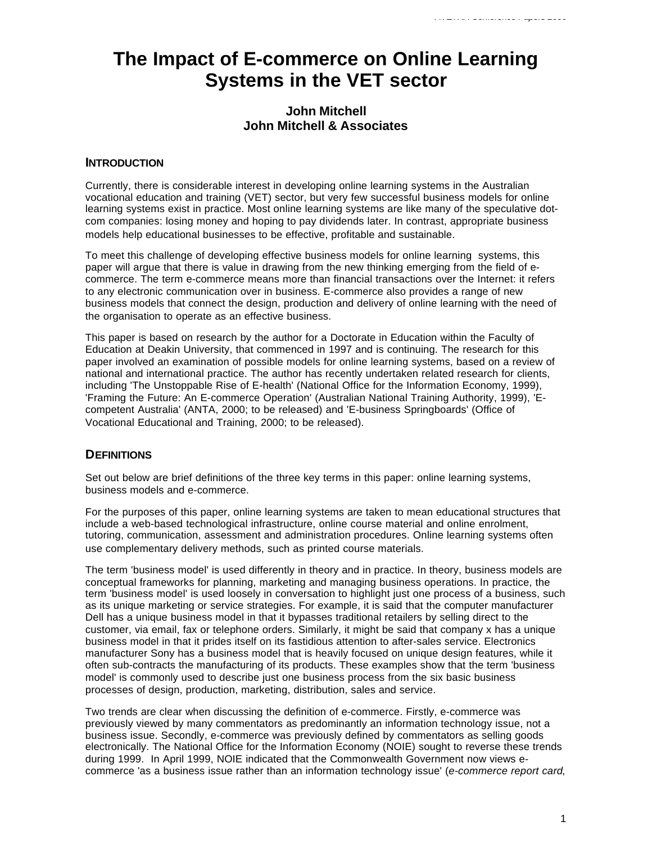# **The Impact of E-commerce on Online Learning Systems in the VET sector**

# **John Mitchell John Mitchell & Associates**

## **INTRODUCTION**

Currently, there is considerable interest in developing online learning systems in the Australian vocational education and training (VET) sector, but very few successful business models for online learning systems exist in practice. Most online learning systems are like many of the speculative dotcom companies: losing money and hoping to pay dividends later. In contrast, appropriate business models help educational businesses to be effective, profitable and sustainable.

To meet this challenge of developing effective business models for online learning systems, this paper will argue that there is value in drawing from the new thinking emerging from the field of ecommerce. The term e-commerce means more than financial transactions over the Internet: it refers to any electronic communication over in business. E-commerce also provides a range of new business models that connect the design, production and delivery of online learning with the need of the organisation to operate as an effective business.

This paper is based on research by the author for a Doctorate in Education within the Faculty of Education at Deakin University, that commenced in 1997 and is continuing. The research for this paper involved an examination of possible models for online learning systems, based on a review of national and international practice. The author has recently undertaken related research for clients, including 'The Unstoppable Rise of E-health' (National Office for the Information Economy, 1999), 'Framing the Future: An E-commerce Operation' (Australian National Training Authority, 1999), 'Ecompetent Australia' (ANTA, 2000; to be released) and 'E-business Springboards' (Office of Vocational Educational and Training, 2000; to be released).

## **DEFINITIONS**

Set out below are brief definitions of the three key terms in this paper: online learning systems, business models and e-commerce.

For the purposes of this paper, online learning systems are taken to mean educational structures that include a web-based technological infrastructure, online course material and online enrolment, tutoring, communication, assessment and administration procedures. Online learning systems often use complementary delivery methods, such as printed course materials.

The term 'business model' is used differently in theory and in practice. In theory, business models are conceptual frameworks for planning, marketing and managing business operations. In practice, the term 'business model' is used loosely in conversation to highlight just one process of a business, such as its unique marketing or service strategies. For example, it is said that the computer manufacturer Dell has a unique business model in that it bypasses traditional retailers by selling direct to the customer, via email, fax or telephone orders. Similarly, it might be said that company x has a unique business model in that it prides itself on its fastidious attention to after-sales service. Electronics manufacturer Sony has a business model that is heavily focused on unique design features, while it often sub-contracts the manufacturing of its products. These examples show that the term 'business model' is commonly used to describe just one business process from the six basic business processes of design, production, marketing, distribution, sales and service.

Two trends are clear when discussing the definition of e-commerce. Firstly, e-commerce was previously viewed by many commentators as predominantly an information technology issue, not a business issue. Secondly, e-commerce was previously defined by commentators as selling goods electronically. The National Office for the Information Economy (NOIE) sought to reverse these trends during 1999. In April 1999, NOIE indicated that the Commonwealth Government now views ecommerce 'as a business issue rather than an information technology issue' (*e-commerce report card*,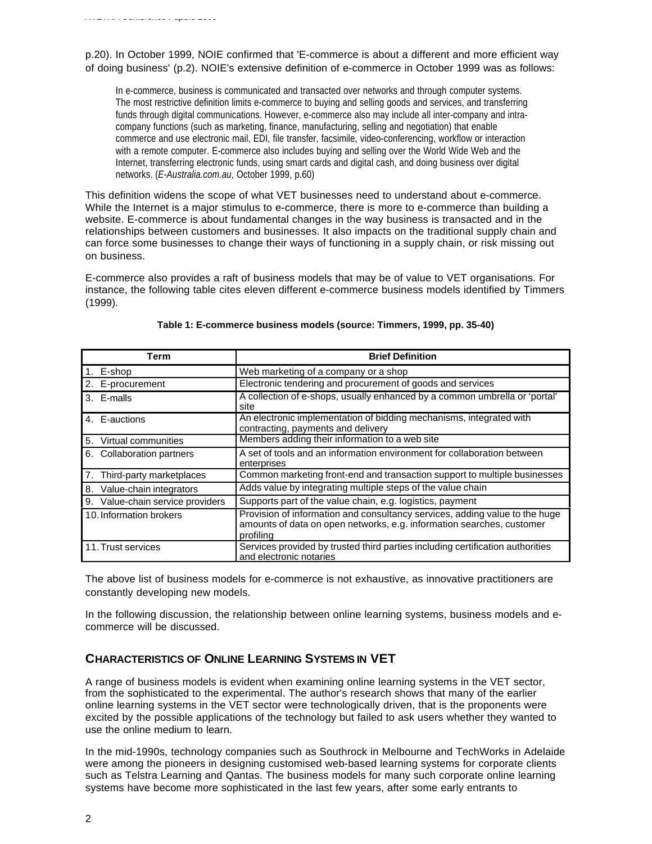p.20). In October 1999, NOIE confirmed that 'E-commerce is about a different and more efficient way of doing business' (p.2). NOIE's extensive definition of e-commerce in October 1999 was as follows:

In e-commerce, business is communicated and transacted over networks and through computer systems. The most restrictive definition limits e-commerce to buying and selling goods and services, and transferring funds through digital communications. However, e-commerce also may include all inter-company and intracompany functions (such as marketing, finance, manufacturing, selling and negotiation) that enable commerce and use electronic mail, EDI, file transfer, facsimile, video-conferencing, workflow or interaction with a remote computer. E-commerce also includes buying and selling over the World Wide Web and the Internet, transferring electronic funds, using smart cards and digital cash, and doing business over digital networks. (*E-Australia.com.au*, October 1999, p.60)

This definition widens the scope of what VET businesses need to understand about e-commerce. While the Internet is a major stimulus to e-commerce, there is more to e-commerce than building a website. E-commerce is about fundamental changes in the way business is transacted and in the relationships between customers and businesses. It also impacts on the traditional supply chain and can force some businesses to change their ways of functioning in a supply chain, or risk missing out on business.

E-commerce also provides a raft of business models that may be of value to VET organisations. For instance, the following table cites eleven different e-commerce business models identified by Timmers (1999).

| Term                             | <b>Brief Definition</b>                                                                                                                                           |
|----------------------------------|-------------------------------------------------------------------------------------------------------------------------------------------------------------------|
| 1. E-shop                        | Web marketing of a company or a shop                                                                                                                              |
| 2. E-procurement                 | Electronic tendering and procurement of goods and services                                                                                                        |
| 3. E-malls                       | A collection of e-shops, usually enhanced by a common umbrella or 'portal'<br>site                                                                                |
| 4. E-auctions                    | An electronic implementation of bidding mechanisms, integrated with<br>contracting, payments and delivery                                                         |
| 5.<br>Virtual communities        | Members adding their information to a web site                                                                                                                    |
| 6. Collaboration partners        | A set of tools and an information environment for collaboration between<br>enterprises                                                                            |
| 7.<br>Third-party marketplaces   | Common marketing front-end and transaction support to multiple businesses                                                                                         |
| 8. Value-chain integrators       | Adds value by integrating multiple steps of the value chain                                                                                                       |
| 9. Value-chain service providers | Supports part of the value chain, e.g. logistics, payment                                                                                                         |
| 10. Information brokers          | Provision of information and consultancy services, adding value to the huge<br>amounts of data on open networks, e.g. information searches, customer<br>profiling |
| 11. Trust services               | Services provided by trusted third parties including certification authorities<br>and electronic notaries                                                         |

#### **Table 1: E-commerce business models (source: Timmers, 1999, pp. 35-40)**

The above list of business models for e-commerce is not exhaustive, as innovative practitioners are constantly developing new models.

In the following discussion, the relationship between online learning systems, business models and ecommerce will be discussed.

# **CHARACTERISTICS OF ONLINE LEARNING SYSTEMS IN VET**

A range of business models is evident when examining online learning systems in the VET sector, from the sophisticated to the experimental. The author's research shows that many of the earlier online learning systems in the VET sector were technologically driven, that is the proponents were excited by the possible applications of the technology but failed to ask users whether they wanted to use the online medium to learn.

In the mid-1990s, technology companies such as Southrock in Melbourne and TechWorks in Adelaide were among the pioneers in designing customised web-based learning systems for corporate clients such as Telstra Learning and Qantas. The business models for many such corporate online learning systems have become more sophisticated in the last few years, after some early entrants to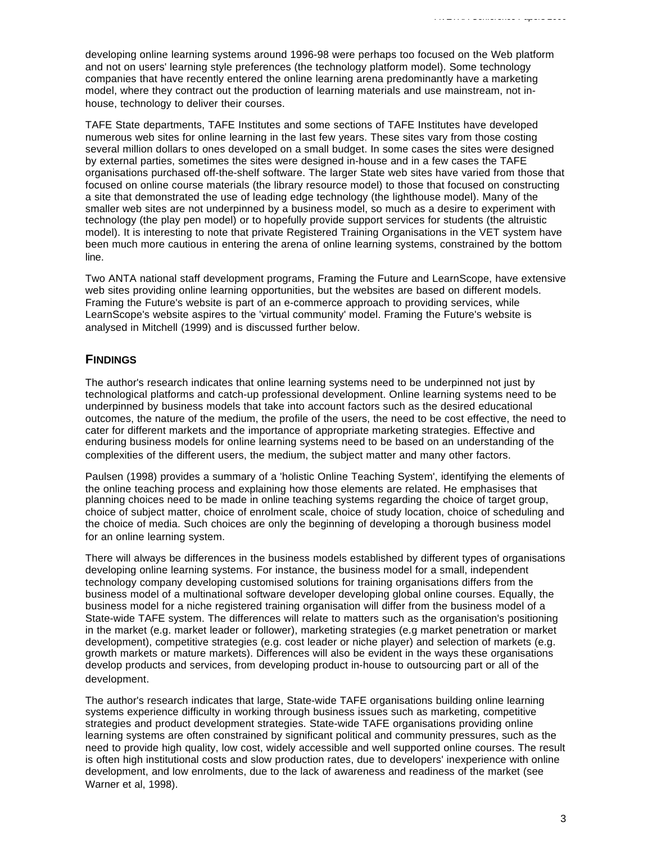developing online learning systems around 1996-98 were perhaps too focused on the Web platform and not on users' learning style preferences (the technology platform model). Some technology companies that have recently entered the online learning arena predominantly have a marketing model, where they contract out the production of learning materials and use mainstream, not inhouse, technology to deliver their courses.

TAFE State departments, TAFE Institutes and some sections of TAFE Institutes have developed numerous web sites for online learning in the last few years. These sites vary from those costing several million dollars to ones developed on a small budget. In some cases the sites were designed by external parties, sometimes the sites were designed in-house and in a few cases the TAFE organisations purchased off-the-shelf software. The larger State web sites have varied from those that focused on online course materials (the library resource model) to those that focused on constructing a site that demonstrated the use of leading edge technology (the lighthouse model). Many of the smaller web sites are not underpinned by a business model, so much as a desire to experiment with technology (the play pen model) or to hopefully provide support services for students (the altruistic model). It is interesting to note that private Registered Training Organisations in the VET system have been much more cautious in entering the arena of online learning systems, constrained by the bottom line.

Two ANTA national staff development programs, Framing the Future and LearnScope, have extensive web sites providing online learning opportunities, but the websites are based on different models. Framing the Future's website is part of an e-commerce approach to providing services, while LearnScope's website aspires to the 'virtual community' model. Framing the Future's website is analysed in Mitchell (1999) and is discussed further below.

## **FINDINGS**

The author's research indicates that online learning systems need to be underpinned not just by technological platforms and catch-up professional development. Online learning systems need to be underpinned by business models that take into account factors such as the desired educational outcomes, the nature of the medium, the profile of the users, the need to be cost effective, the need to cater for different markets and the importance of appropriate marketing strategies. Effective and enduring business models for online learning systems need to be based on an understanding of the complexities of the different users, the medium, the subject matter and many other factors.

Paulsen (1998) provides a summary of a 'holistic Online Teaching System', identifying the elements of the online teaching process and explaining how those elements are related. He emphasises that planning choices need to be made in online teaching systems regarding the choice of target group, choice of subject matter, choice of enrolment scale, choice of study location, choice of scheduling and the choice of media. Such choices are only the beginning of developing a thorough business model for an online learning system.

There will always be differences in the business models established by different types of organisations developing online learning systems. For instance, the business model for a small, independent technology company developing customised solutions for training organisations differs from the business model of a multinational software developer developing global online courses. Equally, the business model for a niche registered training organisation will differ from the business model of a State-wide TAFE system. The differences will relate to matters such as the organisation's positioning in the market (e.g. market leader or follower), marketing strategies (e.g market penetration or market development), competitive strategies (e.g. cost leader or niche player) and selection of markets (e.g. growth markets or mature markets). Differences will also be evident in the ways these organisations develop products and services, from developing product in-house to outsourcing part or all of the development.

The author's research indicates that large, State-wide TAFE organisations building online learning systems experience difficulty in working through business issues such as marketing, competitive strategies and product development strategies. State-wide TAFE organisations providing online learning systems are often constrained by significant political and community pressures, such as the need to provide high quality, low cost, widely accessible and well supported online courses. The result is often high institutional costs and slow production rates, due to developers' inexperience with online development, and low enrolments, due to the lack of awareness and readiness of the market (see Warner et al, 1998).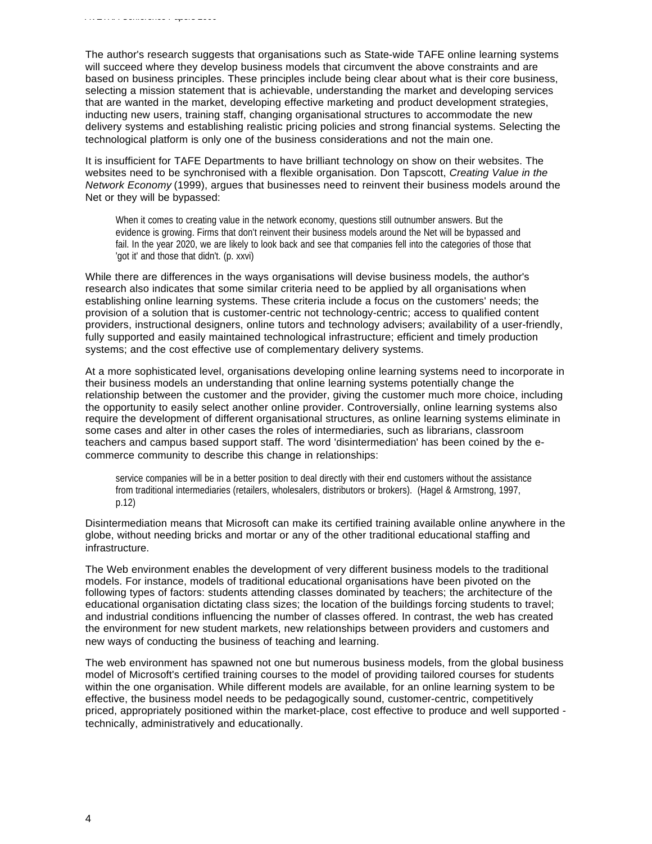The author's research suggests that organisations such as State-wide TAFE online learning systems will succeed where they develop business models that circumvent the above constraints and are based on business principles. These principles include being clear about what is their core business, selecting a mission statement that is achievable, understanding the market and developing services that are wanted in the market, developing effective marketing and product development strategies, inducting new users, training staff, changing organisational structures to accommodate the new delivery systems and establishing realistic pricing policies and strong financial systems. Selecting the technological platform is only one of the business considerations and not the main one.

It is insufficient for TAFE Departments to have brilliant technology on show on their websites. The websites need to be synchronised with a flexible organisation. Don Tapscott, *Creating Value in the Network Economy* (1999), argues that businesses need to reinvent their business models around the Net or they will be bypassed:

When it comes to creating value in the network economy, questions still outnumber answers. But the evidence is growing. Firms that don't reinvent their business models around the Net will be bypassed and fail. In the year 2020, we are likely to look back and see that companies fell into the categories of those that 'got it' and those that didn't. (p. xxvi)

While there are differences in the ways organisations will devise business models, the author's research also indicates that some similar criteria need to be applied by all organisations when establishing online learning systems. These criteria include a focus on the customers' needs; the provision of a solution that is customer-centric not technology-centric; access to qualified content providers, instructional designers, online tutors and technology advisers; availability of a user-friendly, fully supported and easily maintained technological infrastructure; efficient and timely production systems; and the cost effective use of complementary delivery systems.

At a more sophisticated level, organisations developing online learning systems need to incorporate in their business models an understanding that online learning systems potentially change the relationship between the customer and the provider, giving the customer much more choice, including the opportunity to easily select another online provider. Controversially, online learning systems also require the development of different organisational structures, as online learning systems eliminate in some cases and alter in other cases the roles of intermediaries, such as librarians, classroom teachers and campus based support staff. The word 'disintermediation' has been coined by the ecommerce community to describe this change in relationships:

service companies will be in a better position to deal directly with their end customers without the assistance from traditional intermediaries (retailers, wholesalers, distributors or brokers). (Hagel & Armstrong, 1997, p.12)

Disintermediation means that Microsoft can make its certified training available online anywhere in the globe, without needing bricks and mortar or any of the other traditional educational staffing and infrastructure.

The Web environment enables the development of very different business models to the traditional models. For instance, models of traditional educational organisations have been pivoted on the following types of factors: students attending classes dominated by teachers; the architecture of the educational organisation dictating class sizes; the location of the buildings forcing students to travel; and industrial conditions influencing the number of classes offered. In contrast, the web has created the environment for new student markets, new relationships between providers and customers and new ways of conducting the business of teaching and learning.

The web environment has spawned not one but numerous business models, from the global business model of Microsoft's certified training courses to the model of providing tailored courses for students within the one organisation. While different models are available, for an online learning system to be effective, the business model needs to be pedagogically sound, customer-centric, competitively priced, appropriately positioned within the market-place, cost effective to produce and well supported technically, administratively and educationally.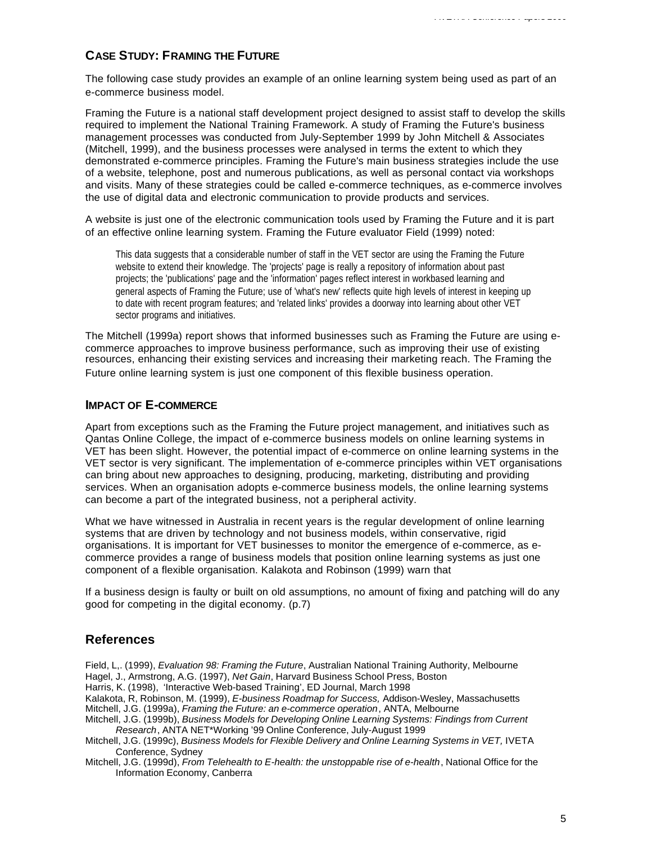## **CASE STUDY: FRAMING THE FUTURE**

The following case study provides an example of an online learning system being used as part of an e-commerce business model.

Framing the Future is a national staff development project designed to assist staff to develop the skills required to implement the National Training Framework. A study of Framing the Future's business management processes was conducted from July-September 1999 by John Mitchell & Associates (Mitchell, 1999), and the business processes were analysed in terms the extent to which they demonstrated e-commerce principles. Framing the Future's main business strategies include the use of a website, telephone, post and numerous publications, as well as personal contact via workshops and visits. Many of these strategies could be called e-commerce techniques, as e-commerce involves the use of digital data and electronic communication to provide products and services.

A website is just one of the electronic communication tools used by Framing the Future and it is part of an effective online learning system. Framing the Future evaluator Field (1999) noted:

This data suggests that a considerable number of staff in the VET sector are using the Framing the Future website to extend their knowledge. The 'projects' page is really a repository of information about past projects; the 'publications' page and the 'information' pages reflect interest in workbased learning and general aspects of Framing the Future; use of 'what's new' reflects quite high levels of interest in keeping up to date with recent program features; and 'related links' provides a doorway into learning about other VET sector programs and initiatives.

The Mitchell (1999a) report shows that informed businesses such as Framing the Future are using ecommerce approaches to improve business performance, such as improving their use of existing resources, enhancing their existing services and increasing their marketing reach. The Framing the Future online learning system is just one component of this flexible business operation.

#### **IMPACT OF E-COMMERCE**

Apart from exceptions such as the Framing the Future project management, and initiatives such as Qantas Online College, the impact of e-commerce business models on online learning systems in VET has been slight. However, the potential impact of e-commerce on online learning systems in the VET sector is very significant. The implementation of e-commerce principles within VET organisations can bring about new approaches to designing, producing, marketing, distributing and providing services. When an organisation adopts e-commerce business models, the online learning systems can become a part of the integrated business, not a peripheral activity.

What we have witnessed in Australia in recent years is the regular development of online learning systems that are driven by technology and not business models, within conservative, rigid organisations. It is important for VET businesses to monitor the emergence of e-commerce, as ecommerce provides a range of business models that position online learning systems as just one component of a flexible organisation. Kalakota and Robinson (1999) warn that

If a business design is faulty or built on old assumptions, no amount of fixing and patching will do any good for competing in the digital economy. (p.7)

#### **References**

Field, L,. (1999), *Evaluation 98: Framing the Future*, Australian National Training Authority, Melbourne Hagel, J., Armstrong, A.G. (1997), *Net Gain*, Harvard Business School Press, Boston

Harris, K. (1998), 'Interactive Web-based Training', ED Journal, March 1998

Kalakota, R, Robinson, M. (1999), *E-business Roadmap for Success,* Addison-Wesley, Massachusetts

- Mitchell, J.G. (1999a), *Framing the Future: an e-commerce operation*, ANTA, Melbourne
- Mitchell, J.G. (1999b), *Business Models for Developing Online Learning Systems: Findings from Current Research*, ANTA NET\*Working '99 Online Conference, July-August 1999
- Mitchell, J.G. (1999c), *Business Models for Flexible Delivery and Online Learning Systems in VET,* IVETA Conference, Sydney
- Mitchell, J.G. (1999d), *From Telehealth to E-health: the unstoppable rise of e-health*, National Office for the Information Economy, Canberra